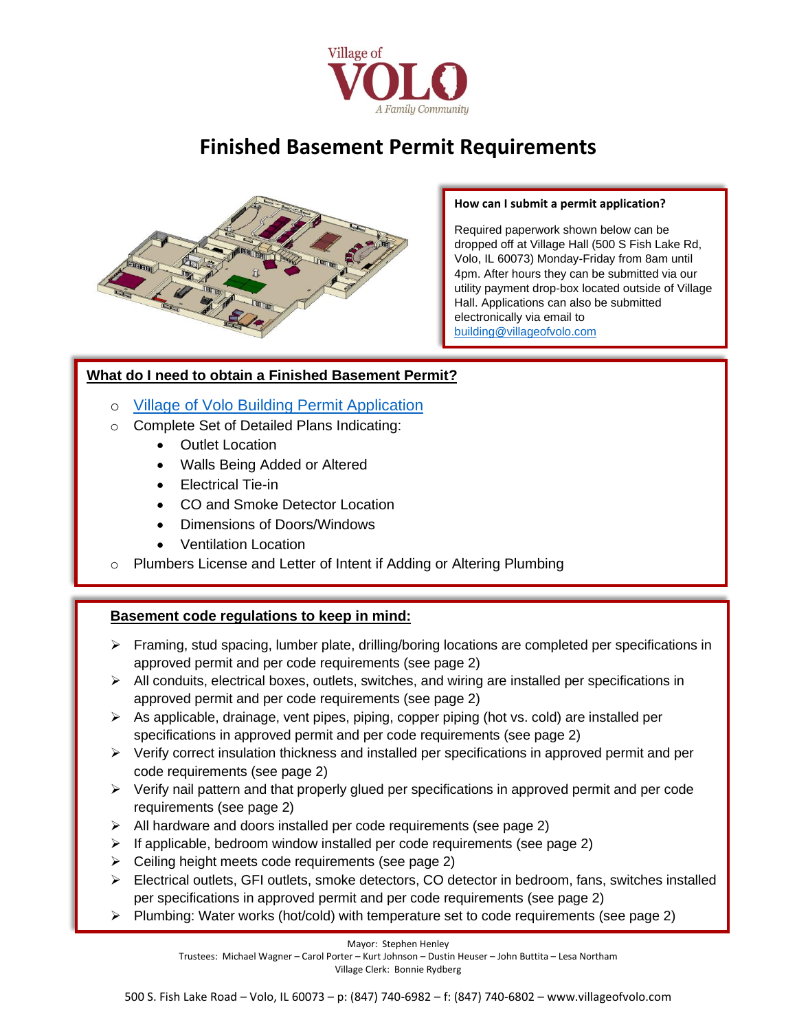

# **Finished Basement Permit Requirements**



#### **How can I submit a permit application?**

Required paperwork shown below can be dropped off at Village Hall (500 S Fish Lake Rd, Volo, IL 60073) Monday-Friday from 8am until 4pm. After hours they can be submitted via our utility payment drop-box located outside of Village Hall. Applications can also be submitted electronically via email to [building@villageofvolo.com](mailto:building@villageofvolo.com)

### **What do I need to obtain a Finished Basement Permit?**

- o [Village of Volo Building Permit Application](http://www.villageofvolo.com/DocumentCenter/View/970/Village-of-Volo-Building-Permit-Application-PDF)
- o Complete Set of Detailed Plans Indicating:
	- **Outlet Location**
	- Walls Being Added or Altered
	- Electrical Tie-in
	- CO and Smoke Detector Location
	- Dimensions of Doors/Windows
	- Ventilation Location
- $\circ$  Plumbers License and Letter of Intent if Adding or Altering Plumbing

## **Basement code regulations to keep in mind:**

- ➢ Framing, stud spacing, lumber plate, drilling/boring locations are completed per specifications in approved permit and per code requirements (see page 2)
- $\triangleright$  All conduits, electrical boxes, outlets, switches, and wiring are installed per specifications in approved permit and per code requirements (see page 2)
- $\triangleright$  As applicable, drainage, vent pipes, piping, copper piping (hot vs. cold) are installed per specifications in approved permit and per code requirements (see page 2)
- $\triangleright$  Verify correct insulation thickness and installed per specifications in approved permit and per code requirements (see page 2)
- $\triangleright$  Verify nail pattern and that properly glued per specifications in approved permit and per code requirements (see page 2)
- ➢ All hardware and doors installed per code requirements (see page 2)
- ➢ If applicable, bedroom window installed per code requirements (see page 2)
- $\triangleright$  Ceiling height meets code requirements (see page 2)
- ➢ Electrical outlets, GFI outlets, smoke detectors, CO detector in bedroom, fans, switches installed per specifications in approved permit and per code requirements (see page 2)
- ➢ Plumbing: Water works (hot/cold) with temperature set to code requirements (see page 2)

Mayor: Stephen Henley Trustees: Michael Wagner – Carol Porter – Kurt Johnson – Dustin Heuser – John Buttita – Lesa Northam Village Clerk: Bonnie Rydberg